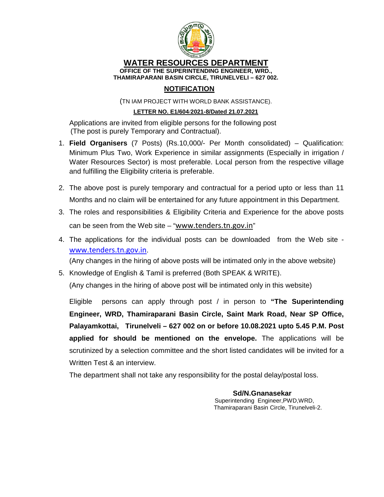

#### **WATER RESOURCES DEPARTMENT OFFICE OF THE SUPERINTENDING ENGINEER, WRD., THAMIRAPARANI BASIN CIRCLE, TIRUNELVELI – 627 002.**

### **NOTIFICATION**

(TN IAM PROJECT WITH WORLD BANK ASSISTANCE).

#### **LETTER NO. E1/604**/**2021-8/Dated 21.07.2021**

Applications are invited from eligible persons for the following post (The post is purely Temporary and Contractual).

- 1. **Field Organisers** (7 Posts) (Rs.10,000/- Per Month consolidated) Qualification: Minimum Plus Two, Work Experience in similar assignments (Especially in irrigation / Water Resources Sector) is most preferable. Local person from the respective village and fulfilling the Eligibility criteria is preferable.
- 2. The above post is purely temporary and contractual for a period upto or less than 11 Months and no claim will be entertained for any future appointment in this Department.
- 3. The roles and responsibilities & Eligibility Criteria and Experience for the above posts can be seen from the Web site – "www.tenders.tn.gov.in"
- 4. The applications for the individual posts can be downloaded from the Web site www.tenders.tn.gov.in.

(Any changes in the hiring of above posts will be intimated only in the above website)

5. Knowledge of English & Tamil is preferred (Both SPEAK & WRITE).

(Any changes in the hiring of above post will be intimated only in this website)

Eligible persons can apply through post / in person to **"The Superintending Engineer, WRD, Thamiraparani Basin Circle, Saint Mark Road, Near SP Office, Palayamkottai, Tirunelveli – 627 002 on or before 10.08.2021 upto 5.45 P.M. Post applied for should be mentioned on the envelope.** The applications will be scrutinized by a selection committee and the short listed candidates will be invited for a Written Test & an interview.

The department shall not take any responsibility for the postal delay/postal loss.

 **Sd/N.Gnanasekar**  Superintending Engineer,PWD,WRD, Thamiraparani Basin Circle, Tirunelveli-2.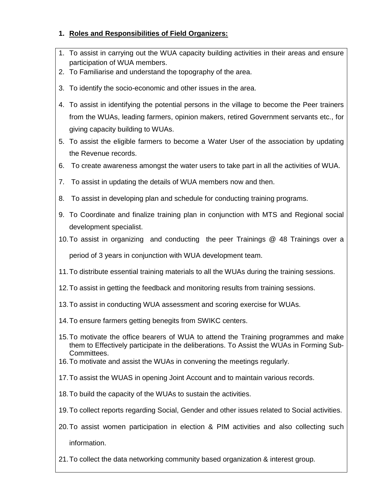### **1. Roles and Responsibilities of Field Organizers:**

- 1. To assist in carrying out the WUA capacity building activities in their areas and ensure participation of WUA members.
- 2. To Familiarise and understand the topography of the area.
- 3. To identify the socio-economic and other issues in the area.
- 4. To assist in identifying the potential persons in the village to become the Peer trainers from the WUAs, leading farmers, opinion makers, retired Government servants etc., for giving capacity building to WUAs.
- 5. To assist the eligible farmers to become a Water User of the association by updating the Revenue records.
- 6. To create awareness amongst the water users to take part in all the activities of WUA.
- 7. To assist in updating the details of WUA members now and then.
- 8. To assist in developing plan and schedule for conducting training programs.
- 9. To Coordinate and finalize training plan in conjunction with MTS and Regional social development specialist.
- 10. To assist in organizing and conducting the peer Trainings @ 48 Trainings over a period of 3 years in conjunction with WUA development team.
- 11. To distribute essential training materials to all the WUAs during the training sessions.
- 12. To assist in getting the feedback and monitoring results from training sessions.
- 13. To assist in conducting WUA assessment and scoring exercise for WUAs.
- 14. To ensure farmers getting benegits from SWIKC centers.
- 15. To motivate the office bearers of WUA to attend the Training programmes and make them to Effectively participate in the deliberations. To Assist the WUAs in Forming Sub-Committees.
- 16. To motivate and assist the WUAs in convening the meetings regularly.
- 17. To assist the WUAS in opening Joint Account and to maintain various records.
- 18. To build the capacity of the WUAs to sustain the activities.
- 19. To collect reports regarding Social, Gender and other issues related to Social activities.
- 20. To assist women participation in election & PIM activities and also collecting such information.
- 21. To collect the data networking community based organization & interest group.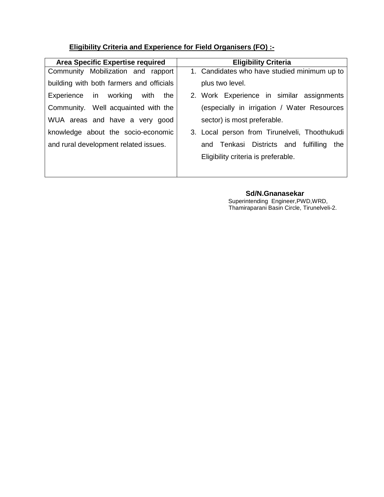## **Eligibility Criteria and Experience for Field Organisers (FO) :-**

| <b>Area Specific Expertise required</b>  | <b>Eligibility Criteria</b>                   |  |  |
|------------------------------------------|-----------------------------------------------|--|--|
| Community Mobilization and rapport       | 1. Candidates who have studied minimum up to  |  |  |
| building with both farmers and officials | plus two level.                               |  |  |
| Experience in working<br>with the        | 2. Work Experience in similar assignments     |  |  |
| Community. Well acquainted with the      | (especially in irrigation / Water Resources   |  |  |
| WUA areas and have a very good           | sector) is most preferable.                   |  |  |
| knowledge about the socio-economic       | 3. Local person from Tirunelveli, Thoothukudi |  |  |
| and rural development related issues.    | and Tenkasi Districts and fulfilling<br>the   |  |  |
|                                          | Eligibility criteria is preferable.           |  |  |
|                                          |                                               |  |  |

 **Sd/N.Gnanasekar**  Superintending Engineer,PWD,WRD, Thamiraparani Basin Circle, Tirunelveli-2.